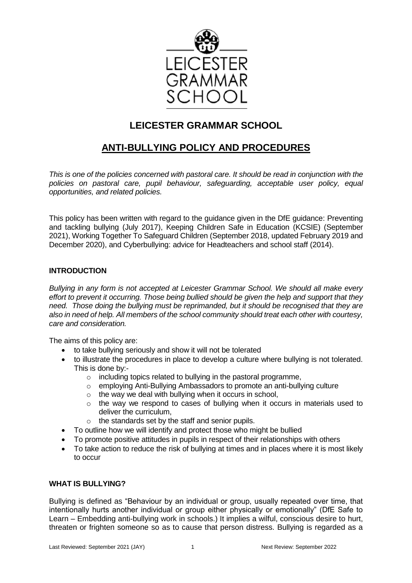

# **LEICESTER GRAMMAR SCHOOL**

# **ANTI-BULLYING POLICY AND PROCEDURES**

*This is one of the policies concerned with pastoral care. It should be read in conjunction with the policies on pastoral care, pupil behaviour, safeguarding, acceptable user policy, equal opportunities, and related policies.*

This policy has been written with regard to the guidance given in the DfE guidance: Preventing and tackling bullying (July 2017), Keeping Children Safe in Education (KCSIE) (September 2021), Working Together To Safeguard Children (September 2018, updated February 2019 and December 2020), and Cyberbullying: advice for Headteachers and school staff (2014).

# **INTRODUCTION**

*Bullying in any form is not accepted at Leicester Grammar School. We should all make every effort to prevent it occurring. Those being bullied should be given the help and support that they need. Those doing the bullying must be reprimanded, but it should be recognised that they are also in need of help. All members of the school community should treat each other with courtesy, care and consideration.*

The aims of this policy are:

- to take bullying seriously and show it will not be tolerated
- to illustrate the procedures in place to develop a culture where bullying is not tolerated. This is done by:-
	- $\circ$  including topics related to bullying in the pastoral programme,
	- o employing Anti-Bullying Ambassadors to promote an anti-bullying culture
	- $\circ$  the way we deal with bullying when it occurs in school,
	- o the way we respond to cases of bullying when it occurs in materials used to deliver the curriculum,
	- o the standards set by the staff and senior pupils.
- To outline how we will identify and protect those who might be bullied
- To promote positive attitudes in pupils in respect of their relationships with others
- To take action to reduce the risk of bullying at times and in places where it is most likely to occur

# **WHAT IS BULLYING?**

Bullying is defined as "Behaviour by an individual or group, usually repeated over time, that intentionally hurts another individual or group either physically or emotionally" (DfE Safe to Learn – Embedding anti-bullying work in schools.) It implies a wilful, conscious desire to hurt, threaten or frighten someone so as to cause that person distress. Bullying is regarded as a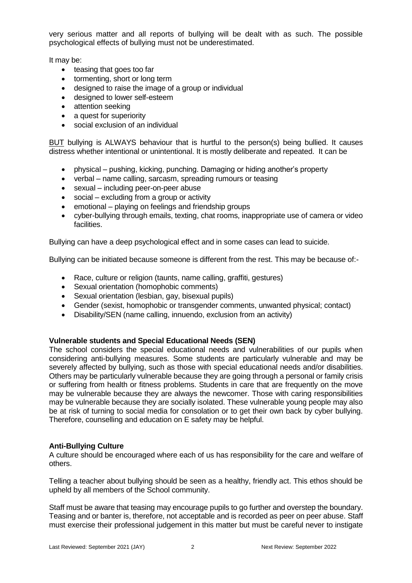very serious matter and all reports of bullying will be dealt with as such. The possible psychological effects of bullying must not be underestimated.

It may be:

- teasing that goes too far
- tormenting, short or long term
- designed to raise the image of a group or individual
- designed to lower self-esteem
- attention seeking
- a quest for superiority
- social exclusion of an individual

BUT bullying is ALWAYS behaviour that is hurtful to the person(s) being bullied. It causes distress whether intentional or unintentional. It is mostly deliberate and repeated. It can be

- physical pushing, kicking, punching. Damaging or hiding another's property
- verbal name calling, sarcasm, spreading rumours or teasing
- sexual including peer-on-peer abuse
- social excluding from a group or activity
- emotional playing on feelings and friendship groups
- cyber-bullying through emails, texting, chat rooms, inappropriate use of camera or video facilities.

Bullying can have a deep psychological effect and in some cases can lead to suicide.

Bullying can be initiated because someone is different from the rest. This may be because of:-

- Race, culture or religion (taunts, name calling, graffiti, gestures)
- Sexual orientation (homophobic comments)
- Sexual orientation (lesbian, gay, bisexual pupils)
- Gender (sexist, homophobic or transgender comments, unwanted physical; contact)
- Disability/SEN (name calling, innuendo, exclusion from an activity)

## **Vulnerable students and Special Educational Needs (SEN)**

The school considers the special educational needs and vulnerabilities of our pupils when considering anti-bullying measures. Some students are particularly vulnerable and may be severely affected by bullying, such as those with special educational needs and/or disabilities. Others may be particularly vulnerable because they are going through a personal or family crisis or suffering from health or fitness problems. Students in care that are frequently on the move may be vulnerable because they are always the newcomer. Those with caring responsibilities may be vulnerable because they are socially isolated. These vulnerable young people may also be at risk of turning to social media for consolation or to get their own back by cyber bullying. Therefore, counselling and education on E safety may be helpful.

## **Anti-Bullying Culture**

A culture should be encouraged where each of us has responsibility for the care and welfare of others.

Telling a teacher about bullying should be seen as a healthy, friendly act. This ethos should be upheld by all members of the School community.

Staff must be aware that teasing may encourage pupils to go further and overstep the boundary. Teasing and or banter is, therefore, not acceptable and is recorded as peer on peer abuse. Staff must exercise their professional judgement in this matter but must be careful never to instigate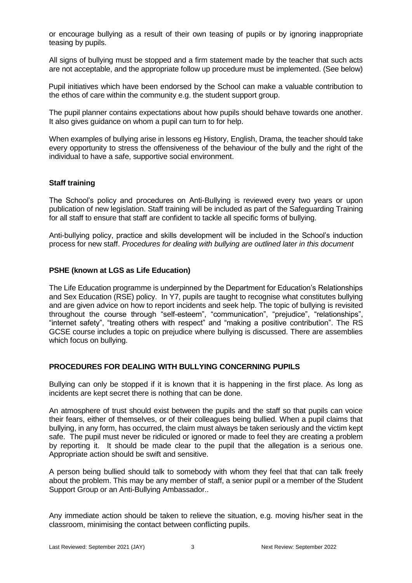or encourage bullying as a result of their own teasing of pupils or by ignoring inappropriate teasing by pupils.

All signs of bullying must be stopped and a firm statement made by the teacher that such acts are not acceptable, and the appropriate follow up procedure must be implemented. (See below)

Pupil initiatives which have been endorsed by the School can make a valuable contribution to the ethos of care within the community e.g. the student support group.

The pupil planner contains expectations about how pupils should behave towards one another. It also gives guidance on whom a pupil can turn to for help.

When examples of bullying arise in lessons eg History, English, Drama, the teacher should take every opportunity to stress the offensiveness of the behaviour of the bully and the right of the individual to have a safe, supportive social environment.

#### **Staff training**

The School's policy and procedures on Anti-Bullying is reviewed every two years or upon publication of new legislation. Staff training will be included as part of the Safeguarding Training for all staff to ensure that staff are confident to tackle all specific forms of bullying.

Anti-bullying policy, practice and skills development will be included in the School's induction process for new staff. *Procedures for dealing with bullying are outlined later in this document* 

#### **PSHE (known at LGS as Life Education)**

The Life Education programme is underpinned by the Department for Education's Relationships and Sex Education (RSE) policy. In Y7, pupils are taught to recognise what constitutes bullying and are given advice on how to report incidents and seek help. The topic of bullying is revisited throughout the course through "self-esteem", "communication", "prejudice", "relationships", "internet safety", "treating others with respect" and "making a positive contribution". The RS GCSE course includes a topic on prejudice where bullying is discussed. There are assemblies which focus on bullying.

#### **PROCEDURES FOR DEALING WITH BULLYING CONCERNING PUPILS**

Bullying can only be stopped if it is known that it is happening in the first place. As long as incidents are kept secret there is nothing that can be done.

An atmosphere of trust should exist between the pupils and the staff so that pupils can voice their fears, either of themselves, or of their colleagues being bullied. When a pupil claims that bullying, in any form, has occurred, the claim must always be taken seriously and the victim kept safe. The pupil must never be ridiculed or ignored or made to feel they are creating a problem by reporting it. It should be made clear to the pupil that the allegation is a serious one. Appropriate action should be swift and sensitive.

A person being bullied should talk to somebody with whom they feel that that can talk freely about the problem. This may be any member of staff, a senior pupil or a member of the Student Support Group or an Anti-Bullying Ambassador..

Any immediate action should be taken to relieve the situation, e.g. moving his/her seat in the classroom, minimising the contact between conflicting pupils.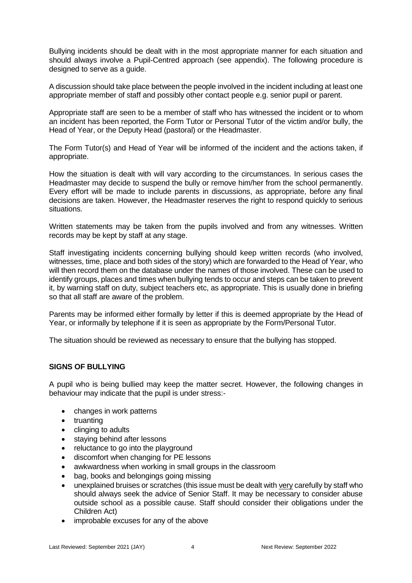Bullying incidents should be dealt with in the most appropriate manner for each situation and should always involve a Pupil-Centred approach (see appendix). The following procedure is designed to serve as a guide.

A discussion should take place between the people involved in the incident including at least one appropriate member of staff and possibly other contact people e.g. senior pupil or parent.

Appropriate staff are seen to be a member of staff who has witnessed the incident or to whom an incident has been reported, the Form Tutor or Personal Tutor of the victim and/or bully, the Head of Year, or the Deputy Head (pastoral) or the Headmaster.

The Form Tutor(s) and Head of Year will be informed of the incident and the actions taken, if appropriate.

How the situation is dealt with will vary according to the circumstances. In serious cases the Headmaster may decide to suspend the bully or remove him/her from the school permanently. Every effort will be made to include parents in discussions, as appropriate, before any final decisions are taken. However, the Headmaster reserves the right to respond quickly to serious situations.

Written statements may be taken from the pupils involved and from any witnesses. Written records may be kept by staff at any stage.

Staff investigating incidents concerning bullying should keep written records (who involved, witnesses, time, place and both sides of the story) which are forwarded to the Head of Year, who will then record them on the database under the names of those involved. These can be used to identify groups, places and times when bullying tends to occur and steps can be taken to prevent it, by warning staff on duty, subject teachers etc, as appropriate. This is usually done in briefing so that all staff are aware of the problem.

Parents may be informed either formally by letter if this is deemed appropriate by the Head of Year, or informally by telephone if it is seen as appropriate by the Form/Personal Tutor.

The situation should be reviewed as necessary to ensure that the bullying has stopped.

#### **SIGNS OF BULLYING**

A pupil who is being bullied may keep the matter secret. However, the following changes in behaviour may indicate that the pupil is under stress:-

- changes in work patterns
- truanting
- clinging to adults
- staying behind after lessons
- reluctance to go into the playground
- discomfort when changing for PE lessons
- awkwardness when working in small groups in the classroom
- bag, books and belongings going missing
- unexplained bruises or scratches (this issue must be dealt with very carefully by staff who should always seek the advice of Senior Staff. It may be necessary to consider abuse outside school as a possible cause. Staff should consider their obligations under the Children Act)
- improbable excuses for any of the above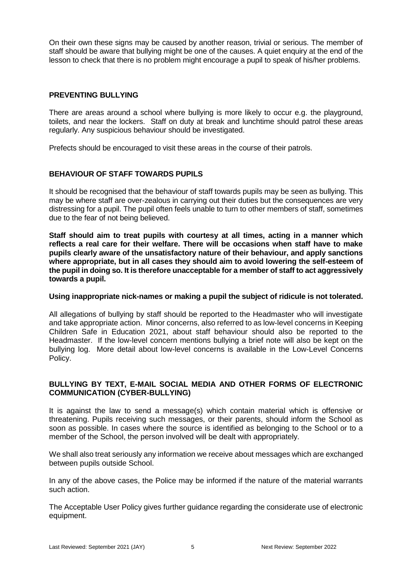On their own these signs may be caused by another reason, trivial or serious. The member of staff should be aware that bullying might be one of the causes. A quiet enquiry at the end of the lesson to check that there is no problem might encourage a pupil to speak of his/her problems.

## **PREVENTING BULLYING**

There are areas around a school where bullying is more likely to occur e.g. the playground, toilets, and near the lockers. Staff on duty at break and lunchtime should patrol these areas regularly. Any suspicious behaviour should be investigated.

Prefects should be encouraged to visit these areas in the course of their patrols.

# **BEHAVIOUR OF STAFF TOWARDS PUPILS**

It should be recognised that the behaviour of staff towards pupils may be seen as bullying. This may be where staff are over-zealous in carrying out their duties but the consequences are very distressing for a pupil. The pupil often feels unable to turn to other members of staff, sometimes due to the fear of not being believed.

**Staff should aim to treat pupils with courtesy at all times, acting in a manner which reflects a real care for their welfare. There will be occasions when staff have to make pupils clearly aware of the unsatisfactory nature of their behaviour, and apply sanctions where appropriate, but in all cases they should aim to avoid lowering the self-esteem of the pupil in doing so. It is therefore unacceptable for a member of staff to act aggressively towards a pupil.** 

#### **Using inappropriate nick-names or making a pupil the subject of ridicule is not tolerated.**

All allegations of bullying by staff should be reported to the Headmaster who will investigate and take appropriate action. Minor concerns, also referred to as low-level concerns in Keeping Children Safe in Education 2021, about staff behaviour should also be reported to the Headmaster. If the low-level concern mentions bullying a brief note will also be kept on the bullying log. More detail about low-level concerns is available in the Low-Level Concerns Policy.

## **BULLYING BY TEXT, E-MAIL SOCIAL MEDIA AND OTHER FORMS OF ELECTRONIC COMMUNICATION (CYBER-BULLYING)**

It is against the law to send a message(s) which contain material which is offensive or threatening. Pupils receiving such messages, or their parents, should inform the School as soon as possible. In cases where the source is identified as belonging to the School or to a member of the School, the person involved will be dealt with appropriately.

We shall also treat seriously any information we receive about messages which are exchanged between pupils outside School.

In any of the above cases, the Police may be informed if the nature of the material warrants such action.

The Acceptable User Policy gives further guidance regarding the considerate use of electronic equipment.